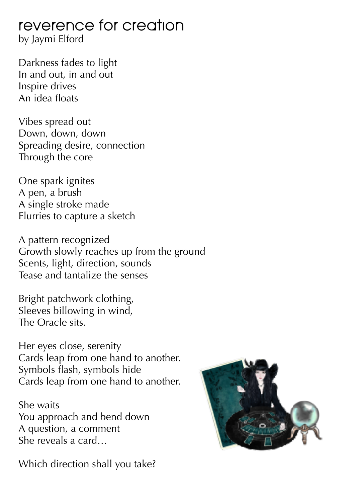## reverence for creation

by Jaymi Elford

Darkness fades to light In and out, in and out Inspire drives An idea floats

Vibes spread out Down, down, down Spreading desire, connection Through the core

One spark ignites A pen, a brush A single stroke made Flurries to capture a sketch

A pattern recognized Growth slowly reaches up from the ground Scents, light, direction, sounds Tease and tantalize the senses

Bright patchwork clothing, Sleeves billowing in wind, The Oracle sits.

Her eyes close, serenity Cards leap from one hand to another. Symbols flash, symbols hide Cards leap from one hand to another.

She waits You approach and bend down A question, a comment She reveals a card…

Which direction shall you take?